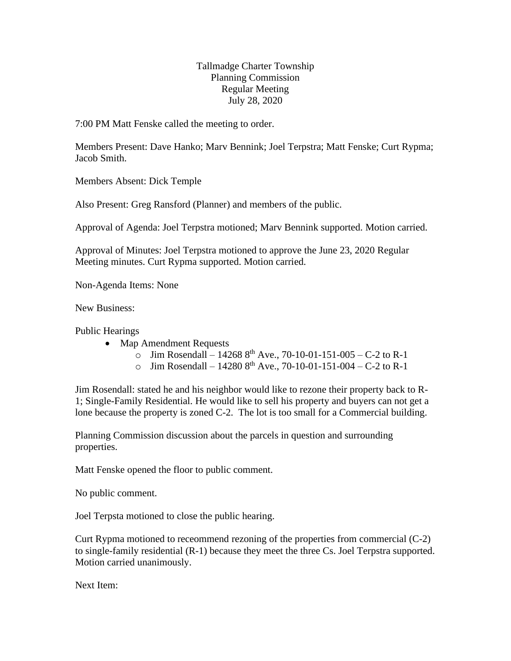## Tallmadge Charter Township Planning Commission Regular Meeting July 28, 2020

7:00 PM Matt Fenske called the meeting to order.

Members Present: Dave Hanko; Marv Bennink; Joel Terpstra; Matt Fenske; Curt Rypma; Jacob Smith.

Members Absent: Dick Temple

Also Present: Greg Ransford (Planner) and members of the public.

Approval of Agenda: Joel Terpstra motioned; Marv Bennink supported. Motion carried.

Approval of Minutes: Joel Terpstra motioned to approve the June 23, 2020 Regular Meeting minutes. Curt Rypma supported. Motion carried.

Non-Agenda Items: None

New Business:

Public Hearings

- Map Amendment Requests
	- o Jim Rosendall 14268  $8^{th}$  Ave., 70-10-01-151-005 C-2 to R-1
	- o Jim Rosendall 14280  $8^{th}$  Ave., 70-10-01-151-004 C-2 to R-1

Jim Rosendall: stated he and his neighbor would like to rezone their property back to R-1; Single-Family Residential. He would like to sell his property and buyers can not get a lone because the property is zoned C-2. The lot is too small for a Commercial building.

Planning Commission discussion about the parcels in question and surrounding properties.

Matt Fenske opened the floor to public comment.

No public comment.

Joel Terpsta motioned to close the public hearing.

Curt Rypma motioned to receommend rezoning of the properties from commercial (C-2) to single-family residential (R-1) because they meet the three Cs. Joel Terpstra supported. Motion carried unanimously.

Next Item: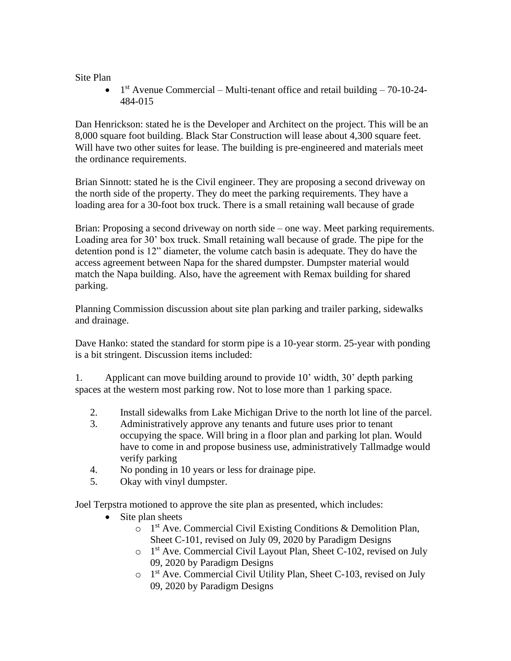Site Plan

 $\bullet$  1<sup>st</sup> Avenue Commercial – Multi-tenant office and retail building – 70-10-24-484-015

Dan Henrickson: stated he is the Developer and Architect on the project. This will be an 8,000 square foot building. Black Star Construction will lease about 4,300 square feet. Will have two other suites for lease. The building is pre-engineered and materials meet the ordinance requirements.

Brian Sinnott: stated he is the Civil engineer. They are proposing a second driveway on the north side of the property. They do meet the parking requirements. They have a loading area for a 30-foot box truck. There is a small retaining wall because of grade

Brian: Proposing a second driveway on north side – one way. Meet parking requirements. Loading area for 30' box truck. Small retaining wall because of grade. The pipe for the detention pond is 12" diameter, the volume catch basin is adequate. They do have the access agreement between Napa for the shared dumpster. Dumpster material would match the Napa building. Also, have the agreement with Remax building for shared parking.

Planning Commission discussion about site plan parking and trailer parking, sidewalks and drainage.

Dave Hanko: stated the standard for storm pipe is a 10-year storm. 25-year with ponding is a bit stringent. Discussion items included:

1. Applicant can move building around to provide 10' width, 30' depth parking spaces at the western most parking row. Not to lose more than 1 parking space.

- 2. Install sidewalks from Lake Michigan Drive to the north lot line of the parcel.
- 3. Administratively approve any tenants and future uses prior to tenant occupying the space. Will bring in a floor plan and parking lot plan. Would have to come in and propose business use, administratively Tallmadge would verify parking
- 4. No ponding in 10 years or less for drainage pipe.
- 5. Okay with vinyl dumpster.

Joel Terpstra motioned to approve the site plan as presented, which includes:

- Site plan sheets
	- o 1<sup>st</sup> Ave. Commercial Civil Existing Conditions & Demolition Plan, Sheet C-101, revised on July 09, 2020 by Paradigm Designs
	- o 1 st Ave. Commercial Civil Layout Plan, Sheet C-102, revised on July 09, 2020 by Paradigm Designs
	- o 1 st Ave. Commercial Civil Utility Plan, Sheet C-103, revised on July 09, 2020 by Paradigm Designs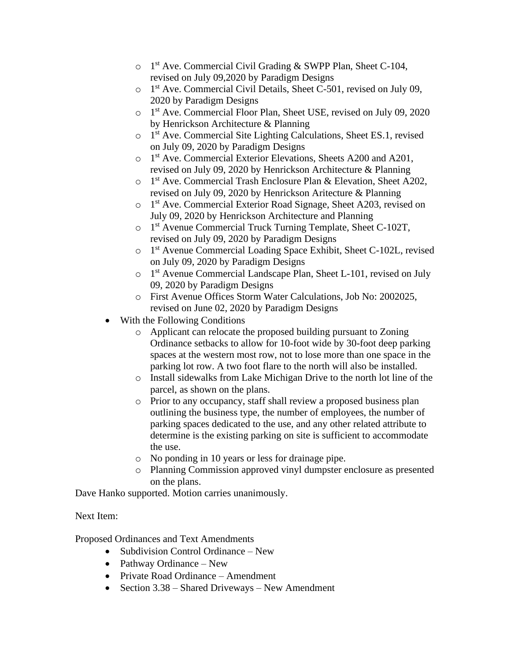- o 1<sup>st</sup> Ave. Commercial Civil Grading & SWPP Plan, Sheet C-104, revised on July 09,2020 by Paradigm Designs
- o 1 st Ave. Commercial Civil Details, Sheet C-501, revised on July 09, 2020 by Paradigm Designs
- o 1 st Ave. Commercial Floor Plan, Sheet USE, revised on July 09, 2020 by Henrickson Architecture & Planning
- o 1 st Ave. Commercial Site Lighting Calculations, Sheet ES.1, revised on July 09, 2020 by Paradigm Designs
- o 1<sup>st</sup> Ave. Commercial Exterior Elevations, Sheets A200 and A201, revised on July 09, 2020 by Henrickson Architecture & Planning
- o 1<sup>st</sup> Ave. Commercial Trash Enclosure Plan & Elevation, Sheet A202, revised on July 09, 2020 by Henrickson Aritecture & Planning
- o 1 st Ave. Commercial Exterior Road Signage, Sheet A203, revised on July 09, 2020 by Henrickson Architecture and Planning
- o 1 st Avenue Commercial Truck Turning Template, Sheet C-102T, revised on July 09, 2020 by Paradigm Designs
- o 1 st Avenue Commercial Loading Space Exhibit, Sheet C-102L, revised on July 09, 2020 by Paradigm Designs
- o 1 st Avenue Commercial Landscape Plan, Sheet L-101, revised on July 09, 2020 by Paradigm Designs
- o First Avenue Offices Storm Water Calculations, Job No: 2002025, revised on June 02, 2020 by Paradigm Designs
- With the Following Conditions
	- o Applicant can relocate the proposed building pursuant to Zoning Ordinance setbacks to allow for 10-foot wide by 30-foot deep parking spaces at the western most row, not to lose more than one space in the parking lot row. A two foot flare to the north will also be installed.
	- o Install sidewalks from Lake Michigan Drive to the north lot line of the parcel, as shown on the plans.
	- o Prior to any occupancy, staff shall review a proposed business plan outlining the business type, the number of employees, the number of parking spaces dedicated to the use, and any other related attribute to determine is the existing parking on site is sufficient to accommodate the use.
	- o No ponding in 10 years or less for drainage pipe.
	- o Planning Commission approved vinyl dumpster enclosure as presented on the plans.

Dave Hanko supported. Motion carries unanimously.

## Next Item:

Proposed Ordinances and Text Amendments

- Subdivision Control Ordinance New
- Pathway Ordinance New
- Private Road Ordinance Amendment
- Section 3.38 Shared Driveways New Amendment